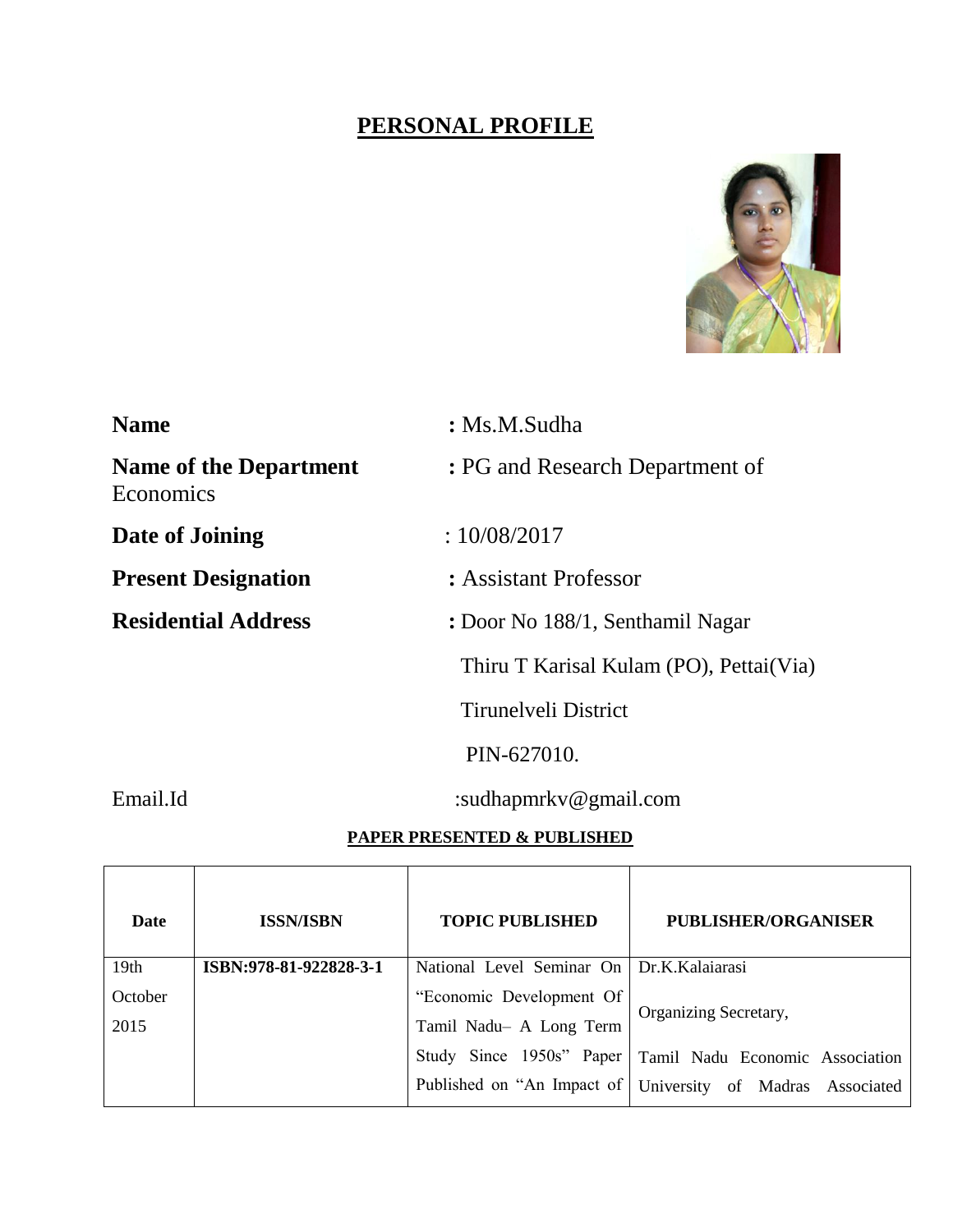# **PERSONAL PROFILE**



| <b>Name</b>                                | $:$ Ms.M.Sudha                           |  |
|--------------------------------------------|------------------------------------------|--|
| <b>Name of the Department</b><br>Economics | : PG and Research Department of          |  |
| Date of Joining                            | :10/08/2017                              |  |
| <b>Present Designation</b>                 | : Assistant Professor                    |  |
| <b>Residential Address</b>                 | : Door No 188/1, Senthamil Nagar         |  |
|                                            | Thiru T Karisal Kulam (PO), Pettai (Via) |  |
|                                            | Tirunelyeli District                     |  |
|                                            | PIN-627010.                              |  |
| Email.Id                                   | :sudhapmrky@gmail.com                    |  |

# **PAPER PRESENTED & PUBLISHED**

| Date             | <b>ISSN/ISBN</b>       | <b>TOPIC PUBLISHED</b>                      | PUBLISHER/ORGANISER                                          |
|------------------|------------------------|---------------------------------------------|--------------------------------------------------------------|
| 19 <sub>th</sub> | ISBN:978-81-922828-3-1 | National Level Seminar On   Dr.K.Kalaiarasi |                                                              |
| October          |                        | "Economic Development Of                    |                                                              |
| 2015             |                        | Tamil Nadu- A Long Term                     | Organizing Secretary,                                        |
|                  |                        |                                             | Study Since 1950s" Paper   Tamil Nadu Economic Association   |
|                  |                        |                                             | Published on "An Impact of   University of Madras Associated |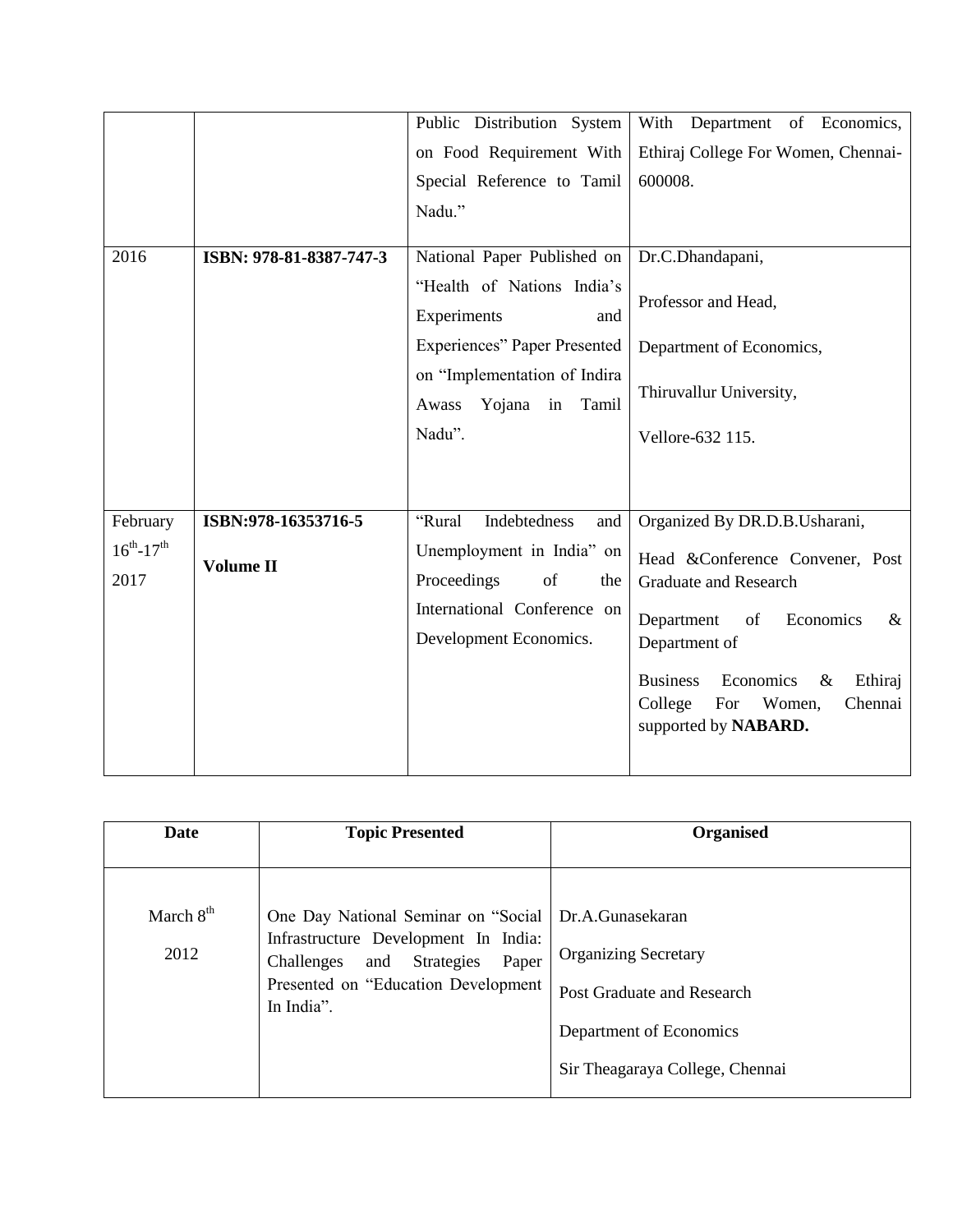|                             |                         | Public Distribution System                                  | With Department of Economics,                                                                                  |
|-----------------------------|-------------------------|-------------------------------------------------------------|----------------------------------------------------------------------------------------------------------------|
|                             |                         | on Food Requirement With                                    | Ethiraj College For Women, Chennai-                                                                            |
|                             |                         | Special Reference to Tamil                                  | 600008.                                                                                                        |
|                             |                         | Nadu."                                                      |                                                                                                                |
| 2016                        | ISBN: 978-81-8387-747-3 | National Paper Published on                                 | Dr.C.Dhandapani,                                                                                               |
|                             |                         | "Health of Nations India's<br>Experiments<br>and            | Professor and Head,                                                                                            |
|                             |                         | <b>Experiences</b> " Paper Presented                        | Department of Economics,                                                                                       |
|                             |                         | on "Implementation of Indira<br>Yojana in<br>Awass<br>Tamil | Thiruvallur University,                                                                                        |
|                             |                         | Nadu".                                                      | Vellore-632 115.                                                                                               |
|                             |                         |                                                             |                                                                                                                |
| February                    | ISBN:978-16353716-5     | "Rural<br>Indebtedness<br>and                               | Organized By DR.D.B.Usharani,                                                                                  |
| $16^{th} - 17^{th}$<br>2017 | Volume II               | Unemployment in India" on<br>Proceedings<br>of<br>the       | Head &Conference Convener, Post<br><b>Graduate and Research</b>                                                |
|                             |                         | International Conference on<br>Development Economics.       | Department<br>of<br>Economics<br>&<br>Department of                                                            |
|                             |                         |                                                             | <b>Business</b><br>Economics<br>$\&$<br>Ethiraj<br>College<br>Women,<br>Chennai<br>For<br>supported by NABARD. |

| Date                | <b>Topic Presented</b>                                                                                                                                                     | <b>Organised</b>                                                                                                                            |
|---------------------|----------------------------------------------------------------------------------------------------------------------------------------------------------------------------|---------------------------------------------------------------------------------------------------------------------------------------------|
| March $8th$<br>2012 | One Day National Seminar on "Social<br>Infrastructure Development In India:<br>and Strategies<br>Challenges<br>Paper<br>Presented on "Education Development"<br>In India". | Dr.A.Gunasekaran<br><b>Organizing Secretary</b><br>Post Graduate and Research<br>Department of Economics<br>Sir Theagaraya College, Chennai |
|                     |                                                                                                                                                                            |                                                                                                                                             |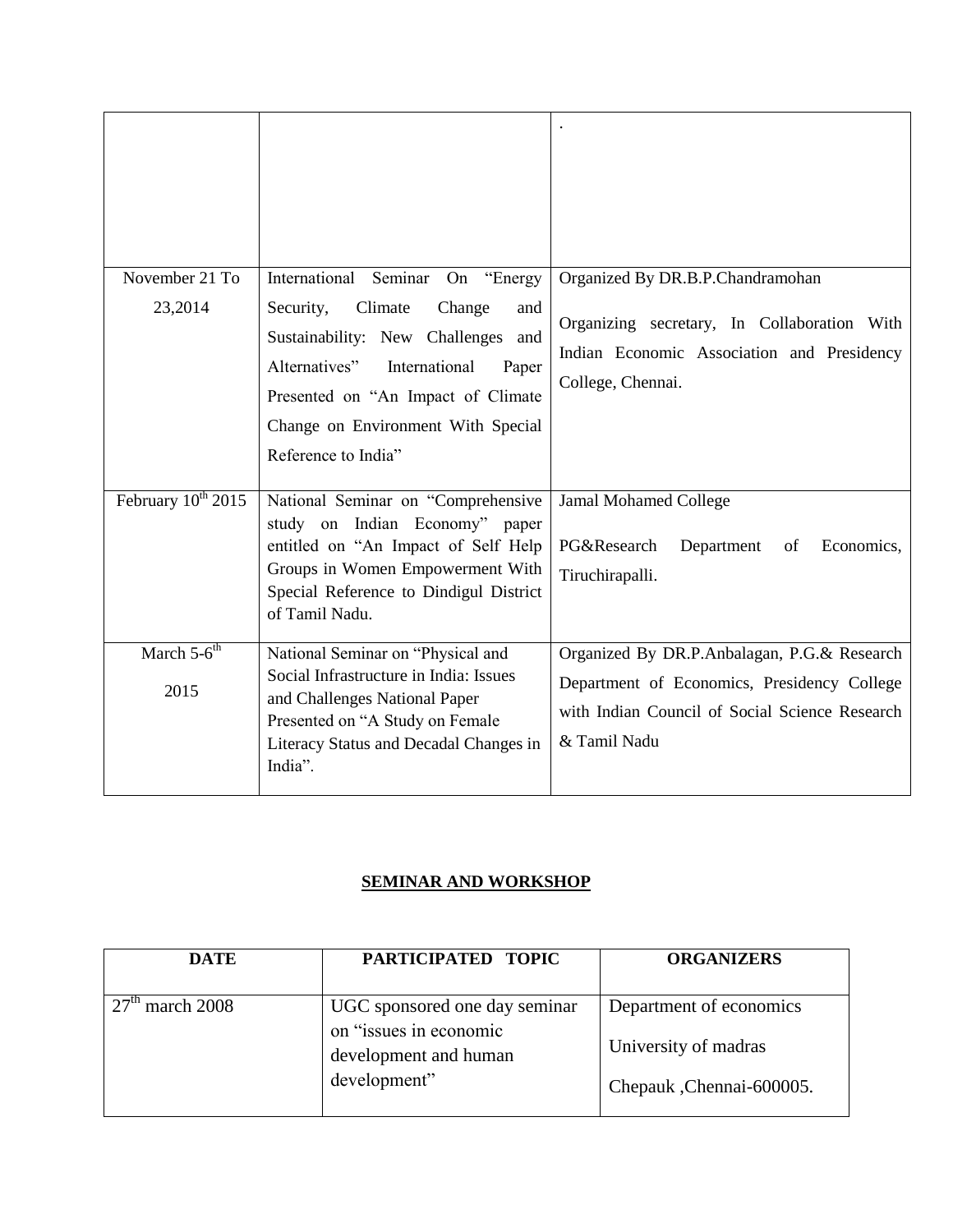| November 21 To<br>23,2014      | International Seminar On "Energy<br>Security,<br>Climate<br>Change<br>and                                                                                                                                   | Organized By DR.B.P.Chandramohan<br>Organizing secretary, In Collaboration With                               |
|--------------------------------|-------------------------------------------------------------------------------------------------------------------------------------------------------------------------------------------------------------|---------------------------------------------------------------------------------------------------------------|
|                                | Sustainability: New Challenges<br>and<br>Alternatives"<br>International<br>Paper<br>Presented on "An Impact of Climate<br>Change on Environment With Special                                                | Indian Economic Association and Presidency<br>College, Chennai.                                               |
|                                | Reference to India"                                                                                                                                                                                         |                                                                                                               |
| February 10 <sup>th</sup> 2015 | National Seminar on "Comprehensive<br>study on Indian Economy" paper<br>entitled on "An Impact of Self Help<br>Groups in Women Empowerment With<br>Special Reference to Dindigul District<br>of Tamil Nadu. | <b>Jamal Mohamed College</b><br>PG&Research<br>Department<br>Economics,<br>of<br>Tiruchirapalli.              |
| March $5-6$ <sup>th</sup>      | National Seminar on "Physical and<br>Social Infrastructure in India: Issues                                                                                                                                 | Organized By DR.P.Anbalagan, P.G.& Research                                                                   |
| 2015                           | and Challenges National Paper<br>Presented on "A Study on Female<br>Literacy Status and Decadal Changes in<br>India".                                                                                       | Department of Economics, Presidency College<br>with Indian Council of Social Science Research<br>& Tamil Nadu |

#### **SEMINAR AND WORKSHOP**

| <b>DATE</b> | PARTICIPATED TOPIC                                                                               | <b>ORGANIZERS</b>                                                            |
|-------------|--------------------------------------------------------------------------------------------------|------------------------------------------------------------------------------|
| march 2008  | UGC sponsored one day seminar<br>on "issues in economic<br>development and human<br>development" | Department of economics<br>University of madras<br>Chepauk , Chennai-600005. |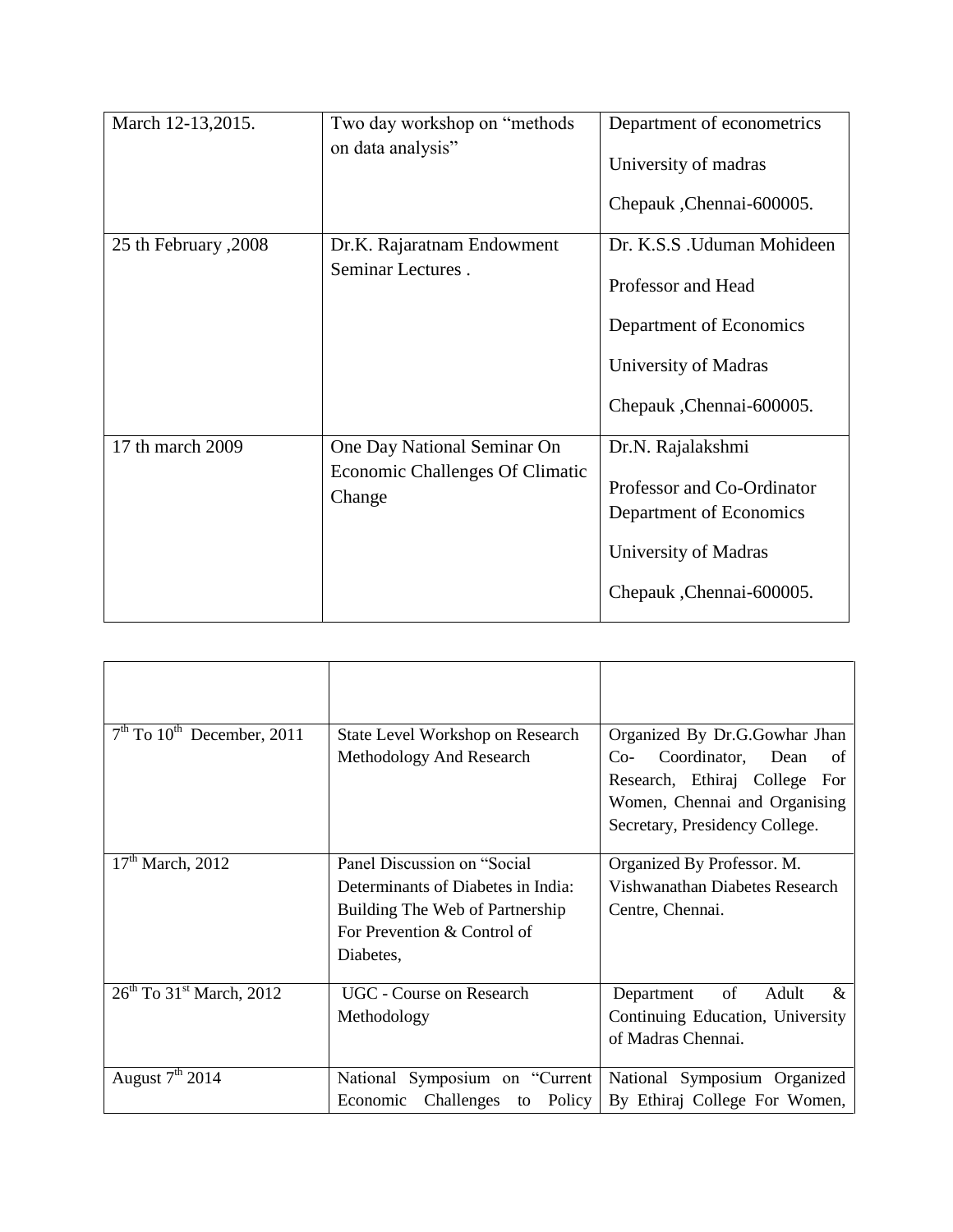| March 12-13,2015.         | Two day workshop on "methods"<br>on data analysis"                       | Department of econometrics<br>University of madras<br>Chepauk , Chennai-600005.                                                  |
|---------------------------|--------------------------------------------------------------------------|----------------------------------------------------------------------------------------------------------------------------------|
| 2008, 2008 25 th February | Dr.K. Rajaratnam Endowment<br>Seminar Lectures.                          | Dr. K.S.S. Uduman Mohideen<br>Professor and Head<br>Department of Economics<br>University of Madras<br>Chepauk , Chennai-600005. |
| 17 th march 2009          | One Day National Seminar On<br>Economic Challenges Of Climatic<br>Change | Dr.N. Rajalakshmi<br>Professor and Co-Ordinator<br>Department of Economics<br>University of Madras<br>Chepauk , Chennai-600005.  |

| $7th$ To 10 <sup>th</sup> December, 2011 | State Level Workshop on Research<br>Methodology And Research                                                                                      | Organized By Dr.G.Gowhar Jhan<br>$Co-$<br>Coordinator, Dean<br>of<br>Research, Ethiraj College For<br>Women, Chennai and Organising<br>Secretary, Presidency College. |
|------------------------------------------|---------------------------------------------------------------------------------------------------------------------------------------------------|-----------------------------------------------------------------------------------------------------------------------------------------------------------------------|
| $17th$ March, 2012                       | Panel Discussion on "Social"<br>Determinants of Diabetes in India:<br>Building The Web of Partnership<br>For Prevention & Control of<br>Diabetes, | Organized By Professor. M.<br>Vishwanathan Diabetes Research<br>Centre, Chennai.                                                                                      |
| $26th$ To 31 <sup>st</sup> March, 2012   | UGC - Course on Research<br>Methodology                                                                                                           | of<br>$\&$<br>Department<br>Adult<br>Continuing Education, University<br>of Madras Chennai.                                                                           |
| August $7th 2014$                        | National Symposium on "Current"<br>Economic                                                                                                       | National Symposium Organized<br>Challenges to Policy By Ethiraj College For Women,                                                                                    |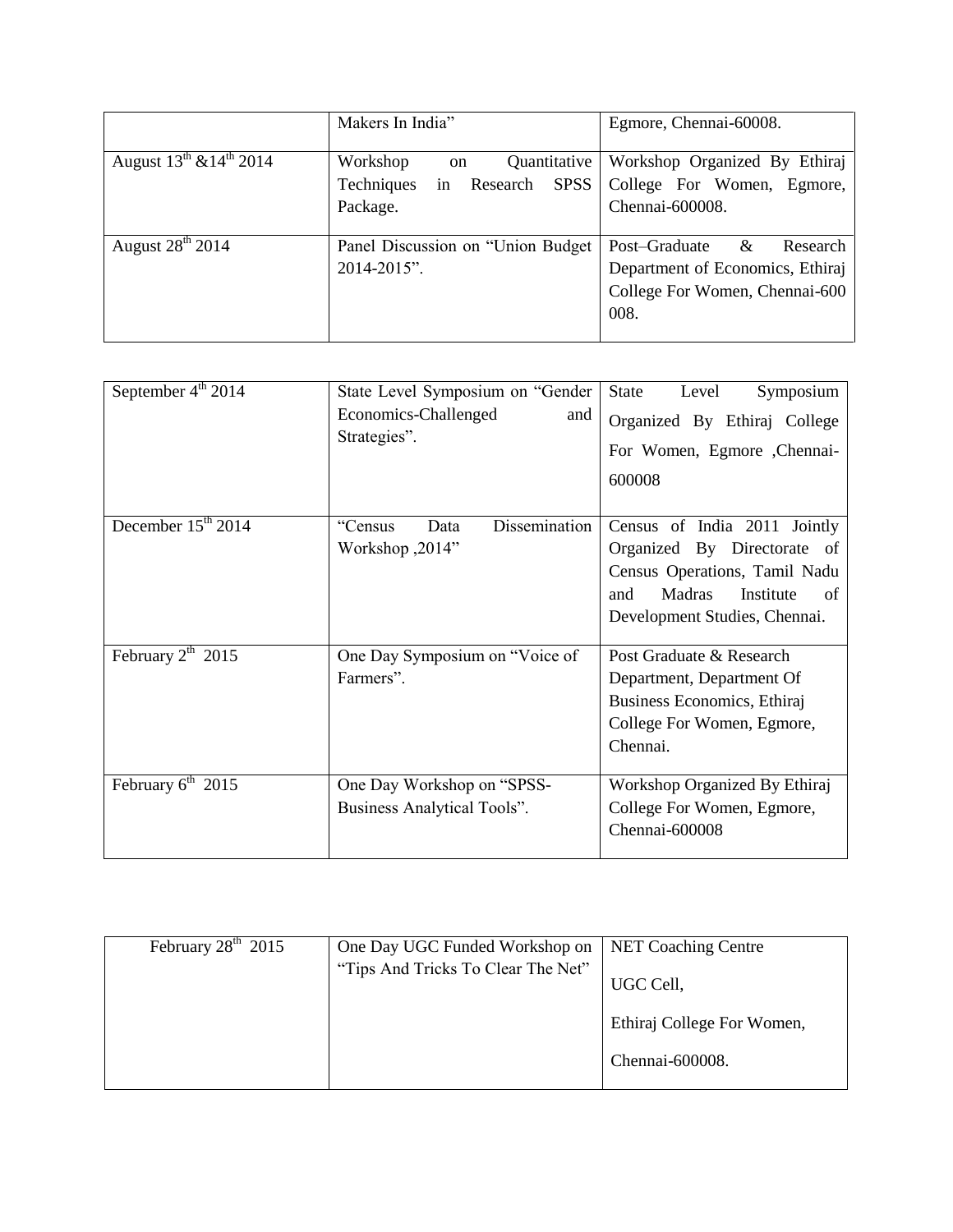|                                   | Makers In India"                                                                                     | Egmore, Chennai-60008.                                                                                       |
|-----------------------------------|------------------------------------------------------------------------------------------------------|--------------------------------------------------------------------------------------------------------------|
| August $13^{th}$ & $14^{th}$ 2014 | Workshop<br>Quantitative<br><sub>on</sub><br>in<br>Techniques<br><b>SPSS</b><br>Research<br>Package. | Workshop Organized By Ethiraj<br>College For Women, Egmore,<br>Chennai-600008.                               |
| August $28th 2014$                | Panel Discussion on "Union Budget<br>2014-2015".                                                     | Post-Graduate<br>&<br>Research<br>Department of Economics, Ethiraj<br>College For Women, Chennai-600<br>008. |

| September 4 <sup>th</sup> 2014 | State Level Symposium on "Gender<br>Economics-Challenged<br>and<br>Strategies". | <b>State</b><br>Level<br>Symposium<br>Organized By Ethiraj College<br>For Women, Egmore , Chennai-<br>600008                                                             |
|--------------------------------|---------------------------------------------------------------------------------|--------------------------------------------------------------------------------------------------------------------------------------------------------------------------|
| December $15th 2014$           | Dissemination<br>Data<br>"Census<br>Workshop, 2014"                             | Census of India 2011 Jointly<br>Organized By Directorate of<br>Census Operations, Tamil Nadu<br><b>Madras</b><br>Institute<br>and<br>of<br>Development Studies, Chennai. |
| February $2^{th}$ 2015         | One Day Symposium on "Voice of<br>Farmers".                                     | Post Graduate & Research<br>Department, Department Of<br>Business Economics, Ethiraj<br>College For Women, Egmore,<br>Chennai.                                           |
| February $6^{th}$ 2015         | One Day Workshop on "SPSS-<br>Business Analytical Tools".                       | Workshop Organized By Ethiraj<br>College For Women, Egmore,<br>Chennai-600008                                                                                            |

| February $28th$ 2015 | One Day UGC Funded Workshop on     | <b>NET Coaching Centre</b> |
|----------------------|------------------------------------|----------------------------|
|                      | "Tips And Tricks To Clear The Net" | UGC Cell,                  |
|                      |                                    | Ethiraj College For Women, |
|                      |                                    | Chennai-600008.            |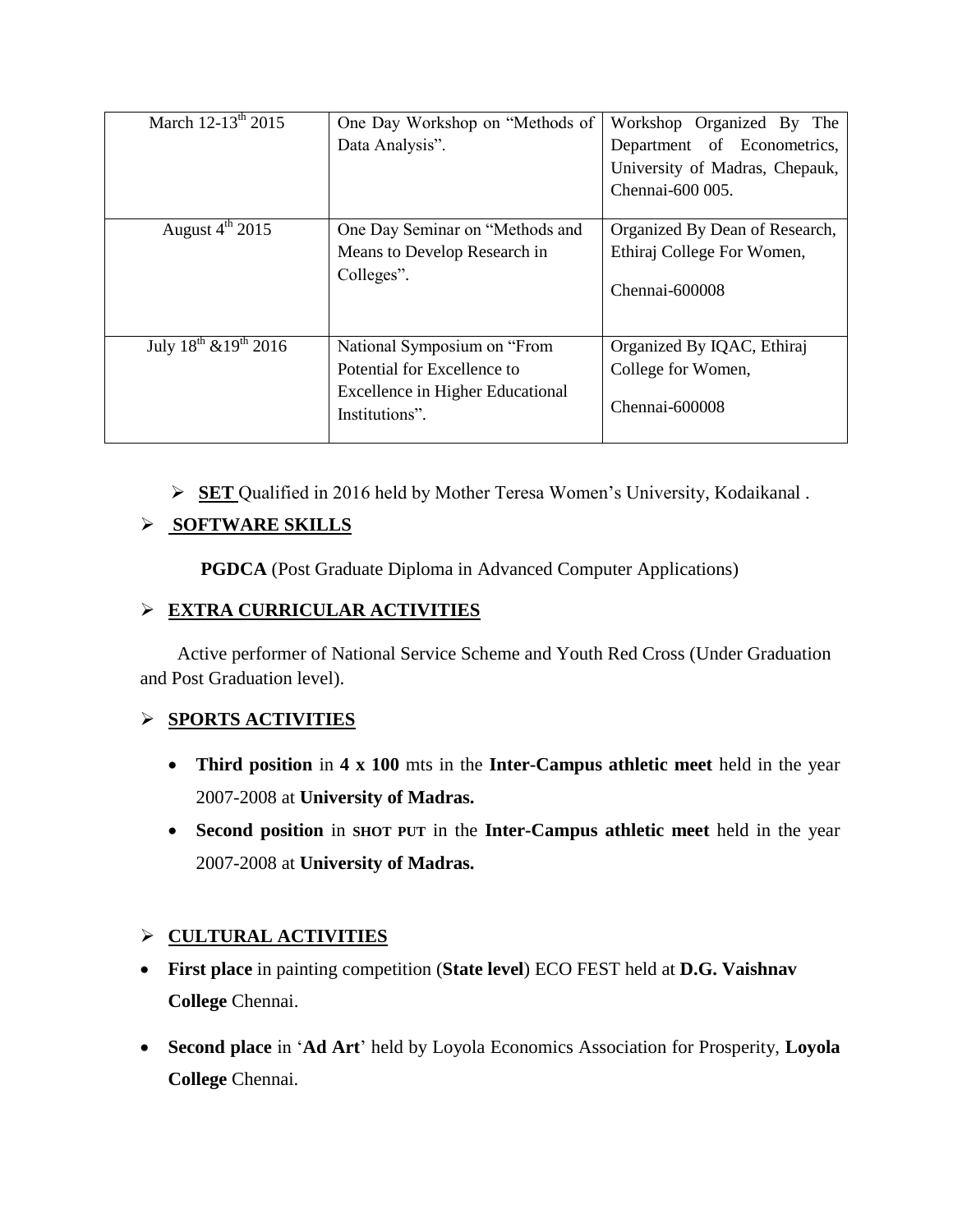| March 12-13 <sup>th</sup> 2015  | One Day Workshop on "Methods of  | Workshop Organized By The      |
|---------------------------------|----------------------------------|--------------------------------|
|                                 | Data Analysis".                  | Department of Econometrics,    |
|                                 |                                  | University of Madras, Chepauk, |
|                                 |                                  | Chennai-600 005.               |
|                                 |                                  |                                |
| August $4^{\text{th}}$ 2015     | One Day Seminar on "Methods and  | Organized By Dean of Research, |
|                                 | Means to Develop Research in     | Ethiraj College For Women,     |
|                                 | Colleges".                       |                                |
|                                 |                                  | Chennai-600008                 |
|                                 |                                  |                                |
| July $18^{th}$ & $19^{th}$ 2016 | National Symposium on "From      | Organized By IQAC, Ethiraj     |
|                                 |                                  |                                |
|                                 | Potential for Excellence to      | College for Women,             |
|                                 | Excellence in Higher Educational |                                |
|                                 | Institutions".                   | Chennai-600008                 |
|                                 |                                  |                                |

**SET** Qualified in 2016 held by Mother Teresa Women"s University, Kodaikanal .

# **SOFTWARE SKILLS**

 **PGDCA** (Post Graduate Diploma in Advanced Computer Applications)

## **EXTRA CURRICULAR ACTIVITIES**

 Active performer of National Service Scheme and Youth Red Cross (Under Graduation and Post Graduation level).

## **SPORTS ACTIVITIES**

- **Third position** in **4 x 100** mts in the **Inter-Campus athletic meet** held in the year 2007-2008 at **University of Madras.**
- **Second position** in **SHOT PUT** in the **Inter-Campus athletic meet** held in the year 2007-2008 at **University of Madras.**

## **CULTURAL ACTIVITIES**

- **First place** in painting competition (**State level**) ECO FEST held at **D.G. Vaishnav College** Chennai.
- **Second place** in "**Ad Art**" held by Loyola Economics Association for Prosperity, **Loyola College** Chennai.